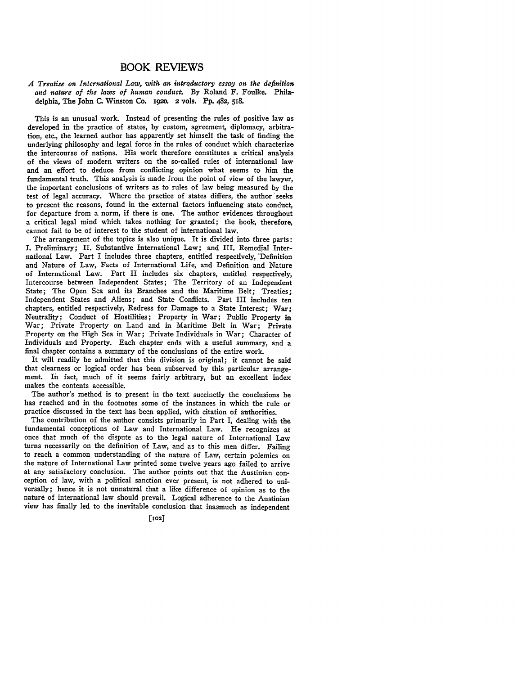## BOOK REVIEWS

## *A Treatise on International Law, with an intrQductory essay on the definition and nature of the laws of human conduct.* **By** Roland F. Foulke. Philadelphia, The John **C.** Winston Co. **1920.** 2 **vols.** Pp. 482, **518.**

This is an unusual work. Instead of presenting the rules of positive law as developed in the practice of states, **by** custom, agreement, diplomacy, arbitration, etc., the learned author has apparently set himself the task of finding the underlying philosophy and legal force in the rules of conduct which characterize the intercourse of nations. His work therefore constitutes a critical analysis of the views of modern writers on the so-called rules of international law and an effort to deduce from conflicting opinion what seems to him the fundamental truth. This analysis is made from the point of view of the lawyer, the important conclusions of writers as to rules of law being measured **by** the test of legal accuracy. Where the practice of states differs, the author'seeks to present the reasons, found in the external factors influencing state conduct, for departure from a norm, if there is one. The author evidences throughout a critical legal mind which takes nothing for granted; the book, therefore, cannot fail **to** be of interest to the student of international law.

The arrangement of the topics is also unique. It is divided into three parts: **I.** Preliminary; **II.** Substantive International Law; and III. Remedial International Law. Part I includes three chapters, entitled respectively, 'Definition and Nature of Law, Facts of International Life, and Definition and Nature of International Law. Part II includes six chapters, entitled respectively, Intercourse between Independent States; The Territory of an Independent State; The Open Sea and its Branches and the Maritime Belt; Treaties; Independent States and Aliens; and State Conflicts. Part III includes ten chapters, entitled respectively, Redress for Damage to a State Interest; War; Neutrality; Conduct of Hostilities; Property in War; Public Property in War; Private Property on Land and in Maritime Belt in War; Private Property on the High Sea in War; Private Individuals in War; Character of Individuals and Property. Each chapter ends with a useful summary, and a final chapter contains a summary of the conclusions of the entire work.

It will readily be admitted that this division is original; it cannot be said that clearness or logical order has been subserved **by** this particular arrangement. In fact, much of it seems fairly arbitrary, but an excellent index makes the contents accessible.

The author's method is to present in the text succinctly the conclusions he has reached and in the footnotes some of the instances in which the rule or practice discussed in the text has been applied, with citation of authorities.

The contribution of the author consists primarily in Part **I,** dealing with the fundamental conceptions of Law and International Law. He recognizes at once that much of the dispute as to the legal nature of International Law turns necessarily on the definition of Law, and as to this men differ. Failing to reach a common understanding of the nature of Law, certain polemics on the nature of International Law printed some twelve years ago failed to arrive at any satisfactory conclusion. The author points out that the Austinian conception of law, with a political sanction ever present, is not adhered to universally; hence it is not unnatural that a like difference of opinion as to the nature of international law should prevail. Logical adherence to the Austinian view has finally led to the inevitable conclusion that inasmuch as independent

**[102]**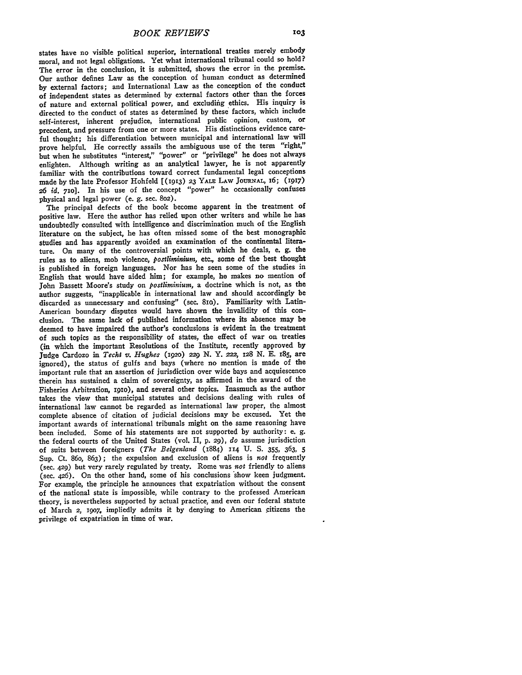states have no visible political superior, international treaties merely embody moral, and not legal obligations. Yet what international tribunal could so hold? The error in the conclusion, it is submitted, shows the error in the premise. Our author defines Law as the conception of human conduct as determined **by** external factors; and International Law as the conception of the conduct of independent states as determined **by** external factors other than the forces of nature and external political power, and excluding ethics. His inquiry is directed to the conduct of states as determined **by** these factors, which include self-interest, inherent prejudice, international public opinion, custom, or precedent, and pressure from one or more states. His distinctions evidence careful thought; his differentiation between municipal and international law will prove helpful. He correctly assails the ambiguous use of the term "right," but when he substitutes "interest," "power" or "privilege" he does not always enlighten. Although writing as an analytical lawyer, he is not apparently familiar with the contributions toward correct fundamental legal conceptions made **by** the late Professor Hohfeld [(913) **23** YALE LAW **JOURNAL, 6; (1917) 26** *id.* **710].** In his use of the concept "power" he occasionally confuses physical and legal power (e. **g.** sec. **8o2).**

The principal defects of the book become apparent in the treatment of positive law. Here the author has relied upon other writers and while he has undoubtedly consulted with intelligence and discrimination much of the English literature on the subject, he has often missed some of the best monographic studies and has apparently avoided an examination of the continental literature. On many of the controversial points with which he deals, e. **g.** the rules as to aliens, mob violence, *postlirninium,* **etc.,** some of the best thought is published in foreign languages. Nor has he seen some of the studies in English that would have aided him; for example, he makes no mention of John Bassett Moore's study on *postliminium,* a doctrine which is not, as the author suggests, "inapplicable in international law and should accordingly be discarded as unnecessary and confusing" (sec. 8io). Familiarity with Latin-American boundary disputes would have shown the invalidity of this conclusion. The same lack of published information where its absence may be deemed to have impaired the author's conclusions is evident in the treatment of such topics as the responsibility of states, the effect of war on treaties (in which the important Resolutions of the Institute, recently approved by Judge Cardozo in *Techt v. Hughes* **(192o) 229 N.** Y. *222,* 128 **N. E. 185,** are ignored), the status of gulfs and bays (where no mention is made of the important rule that an assertion of jurisdiction over wide bays and acquiescence therein has sustained a claim of sovereignty, as affirmed in the award of the Fisheries Arbitration, igio), and several other topics. Inasmuch as the author takes the view that municipal statutes and decisions dealing with rules of international law cannot be regarded as international law proper, the almost complete absence of citation of judicial decisions may be excused. Yet the important awards of international tribunals might on the same reasoning have been included. Some of his statements are not supported **by** authority: e. **g.** the federal courts of the United States (vol. II, **p. 29),** *do* assume jurisdiction of suits between foreigners *(The Belgenland* (1884) **114 U. S. 355,** 363, *5* Sup. Ct. 86o, **863);** the expulsion and exclusion of aliens is *not* frequently (sec. 429) but very rarely regulated **by** treaty. Rome was *not* friendly to aliens (sec. 426). On the other hand, some of his conclusions 'show keen judgment. For example, the principle he announces that expatriation without the consent of the national state is impossible, while contrary to the professed American theory, is nevertheless supported **by** actual practice, and even our federal statute of March 2, *19o7,* impliedly admits it **by** denying to American citizens the privilege of expatriation in time of war.